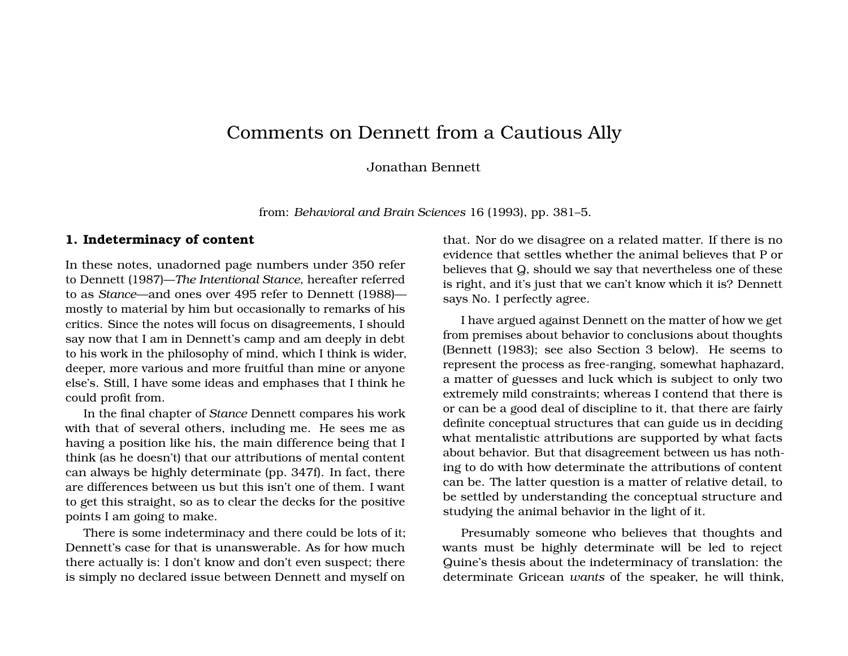# Comments on Dennett from a Cautious Ally

## Jonathan Bennett

from: *Behavioral and Brain Sciences* 16 (1993), pp. 381–5.

#### **1. Indeterminacy of content**

In these notes, unadorned page numbers under 350 refer to Dennett (1987)—*The Intentional Stance*, hereafter referred to as *Stance*—and ones over 495 refer to Dennett (1988) mostly to material by him but occasionally to remarks of his critics. Since the notes will focus on disagreements, I should say now that I am in Dennett's camp and am deeply in debt to his work in the philosophy of mind, which I think is wider, deeper, more various and more fruitful than mine or anyone else's. Still, I have some ideas and emphases that I think he could profit from.

In the final chapter of *Stance* Dennett compares his work with that of several others, including me. He sees me as having a position like his, the main difference being that I think (as he doesn't) that our attributions of mental content can always be highly determinate (pp. 347f). In fact, there are differences between us but this isn't one of them. I want to get this straight, so as to clear the decks for the positive points I am going to make.

There is some indeterminacy and there could be lots of it; Dennett's case for that is unanswerable. As for how much there actually is: I don't know and don't even suspect; there is simply no declared issue between Dennett and myself on

that. Nor do we disagree on a related matter. If there is no evidence that settles whether the animal believes that P or believes that Q, should we say that nevertheless one of these is right, and it's just that we can't know which it is? Dennett says No. I perfectly agree.

I have argued against Dennett on the matter of how we get from premises about behavior to conclusions about thoughts (Bennett (1983); see also Section 3 below). He seems to represent the process as free-ranging, somewhat haphazard, a matter of guesses and luck which is subject to only two extremely mild constraints; whereas I contend that there is or can be a good deal of discipline to it, that there are fairly definite conceptual structures that can guide us in deciding what mentalistic attributions are supported by what facts about behavior. But that disagreement between us has nothing to do with how determinate the attributions of content can be. The latter question is a matter of relative detail, to be settled by understanding the conceptual structure and studying the animal behavior in the light of it.

Presumably someone who believes that thoughts and wants must be highly determinate will be led to reject Quine's thesis about the indeterminacy of translation: the determinate Gricean *wants* of the speaker, he will think,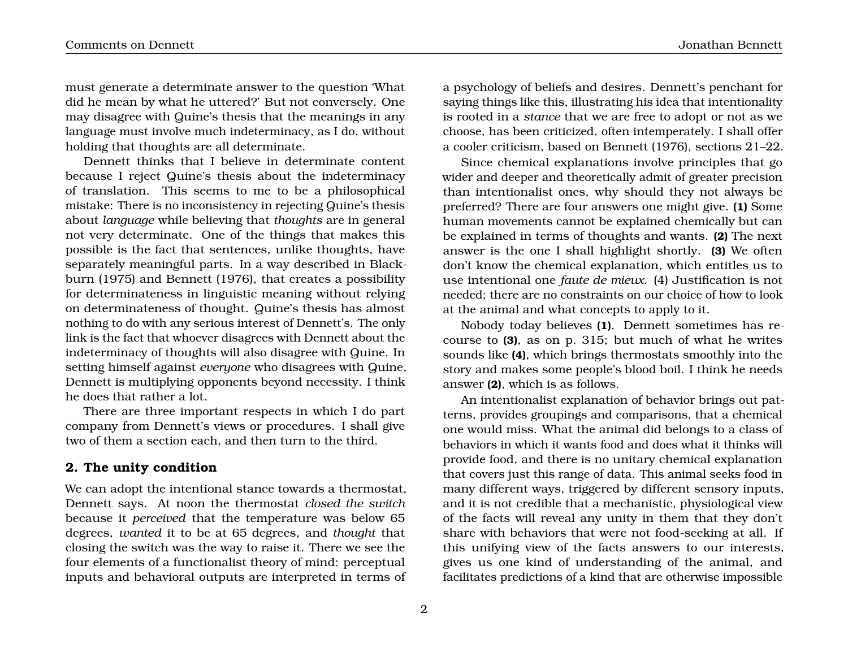must generate a determinate answer to the question 'What did he mean by what he uttered?' But not conversely. One may disagree with Quine's thesis that the meanings in any language must involve much indeterminacy, as I do, without holding that thoughts are all determinate.

Dennett thinks that I believe in determinate content because I reject Quine's thesis about the indeterminacy of translation. This seems to me to be a philosophical mistake: There is no inconsistency in rejecting Quine's thesis about *language* while believing that *thoughts* are in general not very determinate. One of the things that makes this possible is the fact that sentences, unlike thoughts, have separately meaningful parts. In a way described in Blackburn (1975) and Bennett (1976), that creates a possibility for determinateness in linguistic meaning without relying on determinateness of thought. Quine's thesis has almost nothing to do with any serious interest of Dennett's. The only link is the fact that whoever disagrees with Dennett about the indeterminacy of thoughts will also disagree with Quine. In setting himself against *everyone* who disagrees with Quine, Dennett is multiplying opponents beyond necessity. I think he does that rather a lot.

There are three important respects in which I do part company from Dennett's views or procedures. I shall give two of them a section each, and then turn to the third.

#### **2. The unity condition**

We can adopt the intentional stance towards a thermostat, Dennett says. At noon the thermostat *closed the switch* because it *perceived* that the temperature was below 65 degrees, *wanted* it to be at 65 degrees, and *thought* that closing the switch was the way to raise it. There we see the four elements of a functionalist theory of mind: perceptual inputs and behavioral outputs are interpreted in terms of

a psychology of beliefs and desires. Dennett's penchant for saying things like this, illustrating his idea that intentionality is rooted in a *stance* that we are free to adopt or not as we choose, has been criticized, often intemperately. I shall offer a cooler criticism, based on Bennett (1976), sections 21–22.

Since chemical explanations involve principles that go wider and deeper and theoretically admit of greater precision than intentionalist ones, why should they not always be preferred? There are four answers one might give. **(1)** Some human movements cannot be explained chemically but can be explained in terms of thoughts and wants. **(2)** The next answer is the one I shall highlight shortly. **(3)** We often don't know the chemical explanation, which entitles us to use intentional one *faute de mieux*. (4) Justification is not needed; there are no constraints on our choice of how to look at the animal and what concepts to apply to it.

Nobody today believes **(1)**. Dennett sometimes has recourse to **(3)**, as on p. 315; but much of what he writes sounds like **(4)**, which brings thermostats smoothly into the story and makes some people's blood boil. I think he needs answer **(2)**, which is as follows.

An intentionalist explanation of behavior brings out patterns, provides groupings and comparisons, that a chemical one would miss. What the animal did belongs to a class of behaviors in which it wants food and does what it thinks will provide food, and there is no unitary chemical explanation that covers just this range of data. This animal seeks food in many different ways, triggered by different sensory inputs, and it is not credible that a mechanistic, physiological view of the facts will reveal any unity in them that they don't share with behaviors that were not food-seeking at all. If this unifying view of the facts answers to our interests, gives us one kind of understanding of the animal, and facilitates predictions of a kind that are otherwise impossible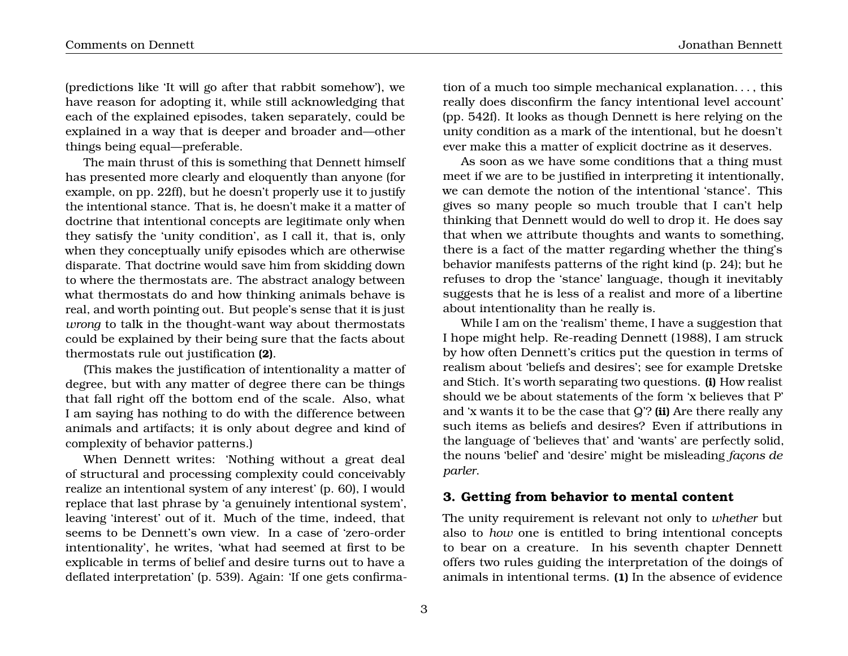(predictions like 'It will go after that rabbit somehow'), we have reason for adopting it, while still acknowledging that each of the explained episodes, taken separately, could be explained in a way that is deeper and broader and—other things being equal—preferable.

The main thrust of this is something that Dennett himself has presented more clearly and eloquently than anyone (for example, on pp. 22ff), but he doesn't properly use it to justify the intentional stance. That is, he doesn't make it a matter of doctrine that intentional concepts are legitimate only when they satisfy the 'unity condition', as I call it, that is, only when they conceptually unify episodes which are otherwise disparate. That doctrine would save him from skidding down to where the thermostats are. The abstract analogy between what thermostats do and how thinking animals behave is real, and worth pointing out. But people's sense that it is just *wrong* to talk in the thought-want way about thermostats could be explained by their being sure that the facts about thermostats rule out justification **(2)**.

(This makes the justification of intentionality a matter of degree, but with any matter of degree there can be things that fall right off the bottom end of the scale. Also, what I am saying has nothing to do with the difference between animals and artifacts; it is only about degree and kind of complexity of behavior patterns.)

When Dennett writes: 'Nothing without a great deal of structural and processing complexity could conceivably realize an intentional system of any interest' (p. 60), I would replace that last phrase by 'a genuinely intentional system', leaving 'interest' out of it. Much of the time, indeed, that seems to be Dennett's own view. In a case of 'zero-order intentionality', he writes, 'what had seemed at first to be explicable in terms of belief and desire turns out to have a deflated interpretation' (p. 539). Again: 'If one gets confirma-

tion of a much too simple mechanical explanation. . . , this really does disconfirm the fancy intentional level account' (pp. 542f). It looks as though Dennett is here relying on the unity condition as a mark of the intentional, but he doesn't ever make this a matter of explicit doctrine as it deserves.

As soon as we have some conditions that a thing must meet if we are to be justified in interpreting it intentionally, we can demote the notion of the intentional 'stance'. This gives so many people so much trouble that I can't help thinking that Dennett would do well to drop it. He does say that when we attribute thoughts and wants to something, there is a fact of the matter regarding whether the thing's behavior manifests patterns of the right kind (p. 24); but he refuses to drop the 'stance' language, though it inevitably suggests that he is less of a realist and more of a libertine about intentionality than he really is.

While I am on the 'realism' theme, I have a suggestion that I hope might help. Re-reading Dennett (1988), I am struck by how often Dennett's critics put the question in terms of realism about 'beliefs and desires'; see for example Dretske and Stich. It's worth separating two questions. **(i)** How realist should we be about statements of the form 'x believes that P' and 'x wants it to be the case that Q'? **(ii)** Are there really any such items as beliefs and desires? Even if attributions in the language of 'believes that' and 'wants' are perfectly solid, the nouns 'belief' and 'desire' might be misleading *façons de parler*.

#### **3. Getting from behavior to mental content**

The unity requirement is relevant not only to *whether* but also to *how* one is entitled to bring intentional concepts to bear on a creature. In his seventh chapter Dennett offers two rules guiding the interpretation of the doings of animals in intentional terms. **(1)** In the absence of evidence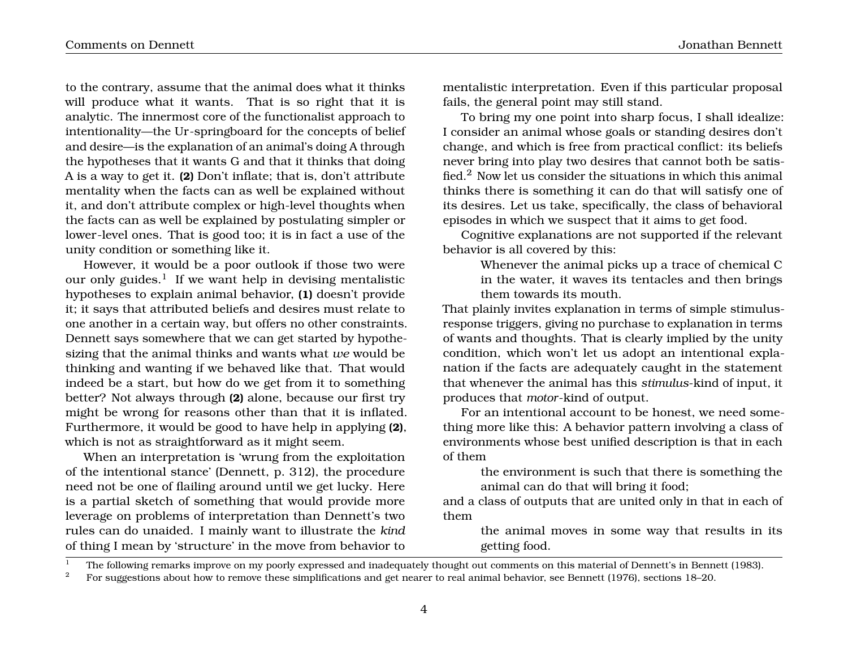to the contrary, assume that the animal does what it thinks will produce what it wants. That is so right that it is analytic. The innermost core of the functionalist approach to intentionality—the Ur-springboard for the concepts of belief and desire—is the explanation of an animal's doing A through the hypotheses that it wants G and that it thinks that doing A is a way to get it. **(2)** Don't inflate; that is, don't attribute mentality when the facts can as well be explained without it, and don't attribute complex or high-level thoughts when the facts can as well be explained by postulating simpler or lower-level ones. That is good too; it is in fact a use of the unity condition or something like it.

However, it would be a poor outlook if those two were our only guides. $^1\,$  If we want help in devising mentalistic hypotheses to explain animal behavior, **(1)** doesn't provide it; it says that attributed beliefs and desires must relate to one another in a certain way, but offers no other constraints. Dennett says somewhere that we can get started by hypothesizing that the animal thinks and wants what *we* would be thinking and wanting if we behaved like that. That would indeed be a start, but how do we get from it to something better? Not always through **(2)** alone, because our first try might be wrong for reasons other than that it is inflated. Furthermore, it would be good to have help in applying **(2)**, which is not as straightforward as it might seem.

When an interpretation is 'wrung from the exploitation of the intentional stance' (Dennett, p. 312), the procedure need not be one of flailing around until we get lucky. Here is a partial sketch of something that would provide more leverage on problems of interpretation than Dennett's two rules can do unaided. I mainly want to illustrate the *kind* of thing I mean by 'structure' in the move from behavior to

mentalistic interpretation. Even if this particular proposal fails, the general point may still stand.

To bring my one point into sharp focus, I shall idealize: I consider an animal whose goals or standing desires don't change, and which is free from practical conflict: its beliefs never bring into play two desires that cannot both be satisfied.<sup>2</sup> Now let us consider the situations in which this animal thinks there is something it can do that will satisfy one of its desires. Let us take, specifically, the class of behavioral episodes in which we suspect that it aims to get food.

Cognitive explanations are not supported if the relevant behavior is all covered by this:

Whenever the animal picks up a trace of chemical C in the water, it waves its tentacles and then brings them towards its mouth.

That plainly invites explanation in terms of simple stimulusresponse triggers, giving no purchase to explanation in terms of wants and thoughts. That is clearly implied by the unity condition, which won't let us adopt an intentional explanation if the facts are adequately caught in the statement that whenever the animal has this *stimulus*-kind of input, it produces that *motor*-kind of output.

For an intentional account to be honest, we need something more like this: A behavior pattern involving a class of environments whose best unified description is that in each of them

> the environment is such that there is something the animal can do that will bring it food;

and a class of outputs that are united only in that in each of them

> the animal moves in some way that results in its getting food.

<sup>1</sup> The following remarks improve on my poorly expressed and inadequately thought out comments on this material of Dennett's in Bennett (1983).

<sup>2</sup> For suggestions about how to remove these simplifications and get nearer to real animal behavior, see Bennett (1976), sections 18–20.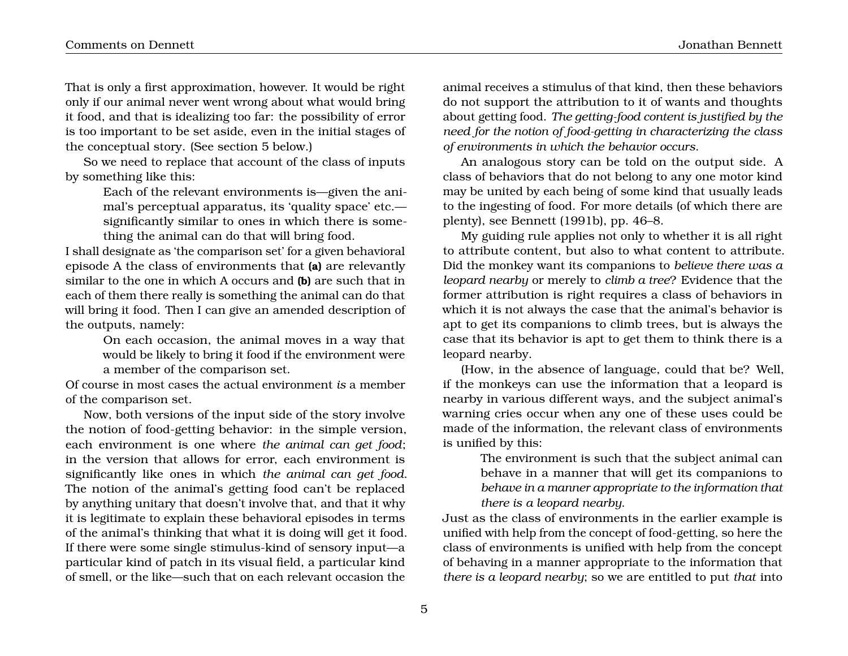That is only a first approximation, however. It would be right only if our animal never went wrong about what would bring it food, and that is idealizing too far: the possibility of error is too important to be set aside, even in the initial stages of the conceptual story. (See section 5 below.)

So we need to replace that account of the class of inputs by something like this:

> Each of the relevant environments is—given the animal's perceptual apparatus, its 'quality space' etc. significantly similar to ones in which there is something the animal can do that will bring food.

I shall designate as 'the comparison set' for a given behavioral episode A the class of environments that **(a)** are relevantly similar to the one in which A occurs and **(b)** are such that in each of them there really is something the animal can do that will bring it food. Then I can give an amended description of the outputs, namely:

> On each occasion, the animal moves in a way that would be likely to bring it food if the environment were a member of the comparison set.

Of course in most cases the actual environment *is* a member of the comparison set.

Now, both versions of the input side of the story involve the notion of food-getting behavior: in the simple version, each environment is one where *the animal can get food*; in the version that allows for error, each environment is significantly like ones in which *the animal can get food*. The notion of the animal's getting food can't be replaced by anything unitary that doesn't involve that, and that it why it is legitimate to explain these behavioral episodes in terms of the animal's thinking that what it is doing will get it food. If there were some single stimulus-kind of sensory input—a particular kind of patch in its visual field, a particular kind of smell, or the like—such that on each relevant occasion the

animal receives a stimulus of that kind, then these behaviors do not support the attribution to it of wants and thoughts about getting food. *The getting-food content is justified by the need for the notion of food-getting in characterizing the class of environments in which the behavior occurs*.

An analogous story can be told on the output side. A class of behaviors that do not belong to any one motor kind may be united by each being of some kind that usually leads to the ingesting of food. For more details (of which there are plenty), see Bennett (1991b), pp. 46–8.

My guiding rule applies not only to whether it is all right to attribute content, but also to what content to attribute. Did the monkey want its companions to *believe there was a leopard nearby* or merely to *climb a tree*? Evidence that the former attribution is right requires a class of behaviors in which it is not always the case that the animal's behavior is apt to get its companions to climb trees, but is always the case that its behavior is apt to get them to think there is a leopard nearby.

(How, in the absence of language, could that be? Well, if the monkeys can use the information that a leopard is nearby in various different ways, and the subject animal's warning cries occur when any one of these uses could be made of the information, the relevant class of environments is unified by this:

> The environment is such that the subject animal can behave in a manner that will get its companions to *behave in a manner appropriate to the information that there is a leopard nearby*.

Just as the class of environments in the earlier example is unified with help from the concept of food-getting, so here the class of environments is unified with help from the concept of behaving in a manner appropriate to the information that *there is a leopard nearby*; so we are entitled to put *that* into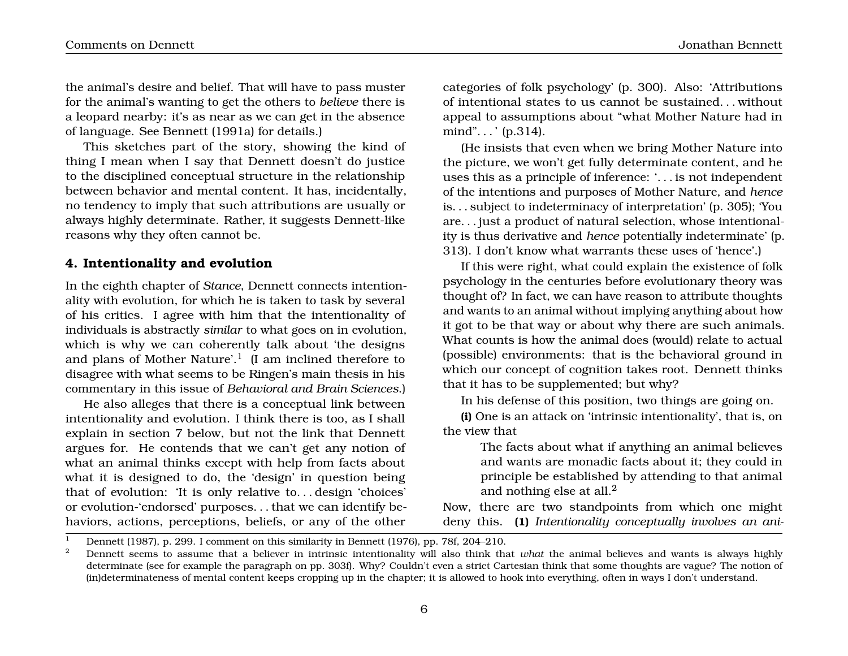the animal's desire and belief. That will have to pass muster for the animal's wanting to get the others to *believe* there is a leopard nearby: it's as near as we can get in the absence of language. See Bennett (1991a) for details.)

This sketches part of the story, showing the kind of thing I mean when I say that Dennett doesn't do justice to the disciplined conceptual structure in the relationship between behavior and mental content. It has, incidentally, no tendency to imply that such attributions are usually or always highly determinate. Rather, it suggests Dennett-like reasons why they often cannot be.

#### **4. Intentionality and evolution**

In the eighth chapter of *Stance*, Dennett connects intentionality with evolution, for which he is taken to task by several of his critics. I agree with him that the intentionality of individuals is abstractly *similar* to what goes on in evolution, which is why we can coherently talk about 'the designs and plans of Mother Nature'. $^1$  (I am inclined therefore to disagree with what seems to be Ringen's main thesis in his commentary in this issue of *Behavioral and Brain Sciences*.)

He also alleges that there is a conceptual link between intentionality and evolution. I think there is too, as I shall explain in section 7 below, but not the link that Dennett argues for. He contends that we can't get any notion of what an animal thinks except with help from facts about what it is designed to do, the 'design' in question being that of evolution: 'It is only relative to. . . design 'choices' or evolution-'endorsed' purposes. . . that we can identify behaviors, actions, perceptions, beliefs, or any of the other

categories of folk psychology' (p. 300). Also: 'Attributions of intentional states to us cannot be sustained. . . without appeal to assumptions about "what Mother Nature had in mind". . . ' (p.314).

(He insists that even when we bring Mother Nature into the picture, we won't get fully determinate content, and he uses this as a principle of inference: '. . . is not independent of the intentions and purposes of Mother Nature, and *hence* is. . . subject to indeterminacy of interpretation' (p. 305); 'You are. . . just a product of natural selection, whose intentionality is thus derivative and *hence* potentially indeterminate' (p. 313). I don't know what warrants these uses of 'hence'.)

If this were right, what could explain the existence of folk psychology in the centuries before evolutionary theory was thought of? In fact, we can have reason to attribute thoughts and wants to an animal without implying anything about how it got to be that way or about why there are such animals. What counts is how the animal does (would) relate to actual (possible) environments: that is the behavioral ground in which our concept of cognition takes root. Dennett thinks that it has to be supplemented; but why?

In his defense of this position, two things are going on.

**(i)** One is an attack on 'intrinsic intentionality', that is, on the view that

> The facts about what if anything an animal believes and wants are monadic facts about it; they could in principle be established by attending to that animal and nothing else at all.<sup>2</sup>

Now, there are two standpoints from which one might deny this. **(1)** *Intentionality conceptually involves an ani-*

<sup>&</sup>lt;sup>1</sup> Dennett (1987), p. 299. I comment on this similarity in Bennett (1976), pp. 78f, 204–210.<br><sup>2</sup> Dennett seems to assume that a helisus in intrinsic intentionality will also think the

<sup>2</sup> Dennett seems to assume that a believer in intrinsic intentionality will also think that *what* the animal believes and wants is always highly determinate (see for example the paragraph on pp. 303f). Why? Couldn't even a strict Cartesian think that some thoughts are vague? The notion of (in)determinateness of mental content keeps cropping up in the chapter; it is allowed to hook into everything, often in ways I don't understand.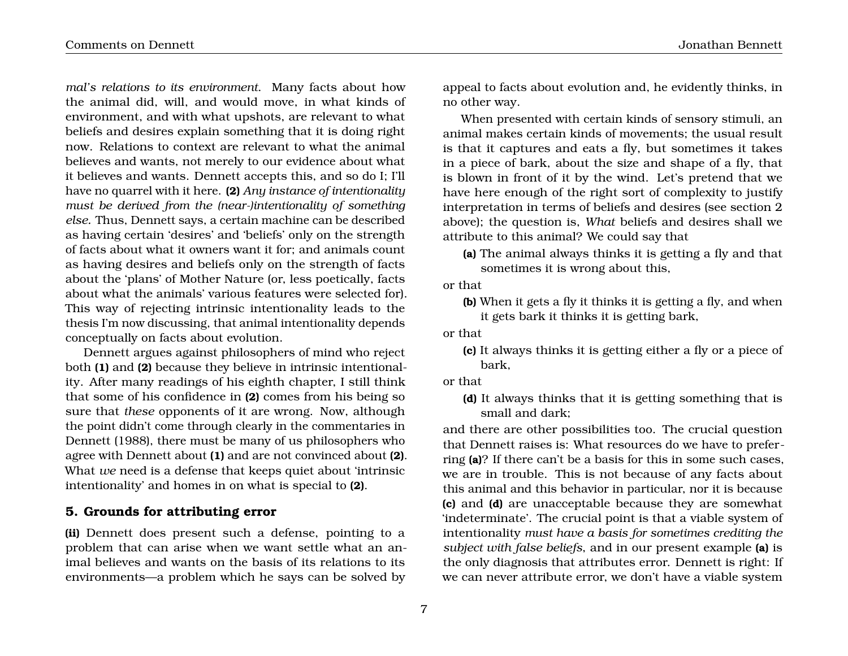*mal's relations to its environment*. Many facts about how the animal did, will, and would move, in what kinds of environment, and with what upshots, are relevant to what beliefs and desires explain something that it is doing right now. Relations to context are relevant to what the animal believes and wants, not merely to our evidence about what it believes and wants. Dennett accepts this, and so do I; I'll have no quarrel with it here. **(2)** *Any instance of intentionality must be derived from the (near-)intentionality of something else.* Thus, Dennett says, a certain machine can be described as having certain 'desires' and 'beliefs' only on the strength of facts about what it owners want it for; and animals count as having desires and beliefs only on the strength of facts about the 'plans' of Mother Nature (or, less poetically, facts about what the animals' various features were selected for). This way of rejecting intrinsic intentionality leads to the thesis I'm now discussing, that animal intentionality depends conceptually on facts about evolution.

Dennett argues against philosophers of mind who reject both **(1)** and **(2)** because they believe in intrinsic intentionality. After many readings of his eighth chapter, I still think that some of his confidence in **(2)** comes from his being so sure that *these* opponents of it are wrong. Now, although the point didn't come through clearly in the commentaries in Dennett (1988), there must be many of us philosophers who agree with Dennett about **(1)** and are not convinced about **(2)**. What *we* need is a defense that keeps quiet about 'intrinsic intentionality' and homes in on what is special to **(2)**.

### **5. Grounds for attributing error**

**(ii)** Dennett does present such a defense, pointing to a problem that can arise when we want settle what an animal believes and wants on the basis of its relations to its environments—a problem which he says can be solved by

appeal to facts about evolution and, he evidently thinks, in no other way.

When presented with certain kinds of sensory stimuli, an animal makes certain kinds of movements; the usual result is that it captures and eats a fly, but sometimes it takes in a piece of bark, about the size and shape of a fly, that is blown in front of it by the wind. Let's pretend that we have here enough of the right sort of complexity to justify interpretation in terms of beliefs and desires (see section 2 above); the question is, *What* beliefs and desires shall we attribute to this animal? We could say that

**(a)** The animal always thinks it is getting a fly and that sometimes it is wrong about this,

or that

**(b)** When it gets a fly it thinks it is getting a fly, and when it gets bark it thinks it is getting bark,

or that

**(c)** It always thinks it is getting either a fly or a piece of bark,

or that

**(d)** It always thinks that it is getting something that is small and dark;

and there are other possibilities too. The crucial question that Dennett raises is: What resources do we have to preferring **(a)**? If there can't be a basis for this in some such cases, we are in trouble. This is not because of any facts about this animal and this behavior in particular, nor it is because **(c)** and **(d)** are unacceptable because they are somewhat 'indeterminate'. The crucial point is that a viable system of intentionality *must have a basis for sometimes crediting the subject with false beliefs*, and in our present example **(a)** is the only diagnosis that attributes error. Dennett is right: If we can never attribute error, we don't have a viable system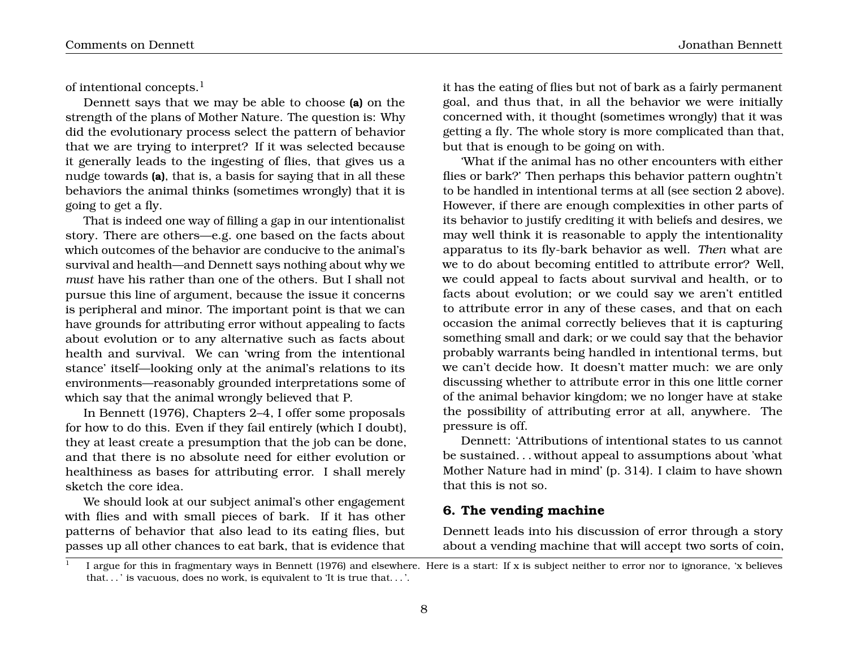of intentional concepts.<sup>1</sup>

Dennett says that we may be able to choose **(a)** on the strength of the plans of Mother Nature. The question is: Why did the evolutionary process select the pattern of behavior that we are trying to interpret? If it was selected because it generally leads to the ingesting of flies, that gives us a nudge towards **(a)**, that is, a basis for saying that in all these behaviors the animal thinks (sometimes wrongly) that it is going to get a fly.

That is indeed one way of filling a gap in our intentionalist story. There are others—e.g. one based on the facts about which outcomes of the behavior are conducive to the animal's survival and health—and Dennett says nothing about why we *must* have his rather than one of the others. But I shall not pursue this line of argument, because the issue it concerns is peripheral and minor. The important point is that we can have grounds for attributing error without appealing to facts about evolution or to any alternative such as facts about health and survival. We can 'wring from the intentional stance' itself—looking only at the animal's relations to its environments—reasonably grounded interpretations some of which say that the animal wrongly believed that P.

In Bennett (1976), Chapters 2–4, I offer some proposals for how to do this. Even if they fail entirely (which I doubt), they at least create a presumption that the job can be done, and that there is no absolute need for either evolution or healthiness as bases for attributing error. I shall merely sketch the core idea.

We should look at our subject animal's other engagement with flies and with small pieces of bark. If it has other patterns of behavior that also lead to its eating flies, but passes up all other chances to eat bark, that is evidence that

it has the eating of flies but not of bark as a fairly permanent goal, and thus that, in all the behavior we were initially concerned with, it thought (sometimes wrongly) that it was getting a fly. The whole story is more complicated than that, but that is enough to be going on with.

'What if the animal has no other encounters with either flies or bark?' Then perhaps this behavior pattern oughtn't to be handled in intentional terms at all (see section 2 above). However, if there are enough complexities in other parts of its behavior to justify crediting it with beliefs and desires, we may well think it is reasonable to apply the intentionality apparatus to its fly-bark behavior as well. *Then* what are we to do about becoming entitled to attribute error? Well, we could appeal to facts about survival and health, or to facts about evolution; or we could say we aren't entitled to attribute error in any of these cases, and that on each occasion the animal correctly believes that it is capturing something small and dark; or we could say that the behavior probably warrants being handled in intentional terms, but we can't decide how. It doesn't matter much: we are only discussing whether to attribute error in this one little corner of the animal behavior kingdom; we no longer have at stake the possibility of attributing error at all, anywhere. The pressure is off.

Dennett: 'Attributions of intentional states to us cannot be sustained. . . without appeal to assumptions about 'what Mother Nature had in mind' (p. 314). I claim to have shown that this is not so.

#### **6. The vending machine**

Dennett leads into his discussion of error through a story about a vending machine that will accept two sorts of coin,

<sup>1</sup> I argue for this in fragmentary ways in Bennett (1976) and elsewhere. Here is a start: If x is subject neither to error nor to ignorance, 'x believes that. . . ' is vacuous, does no work, is equivalent to 'It is true that. . . '.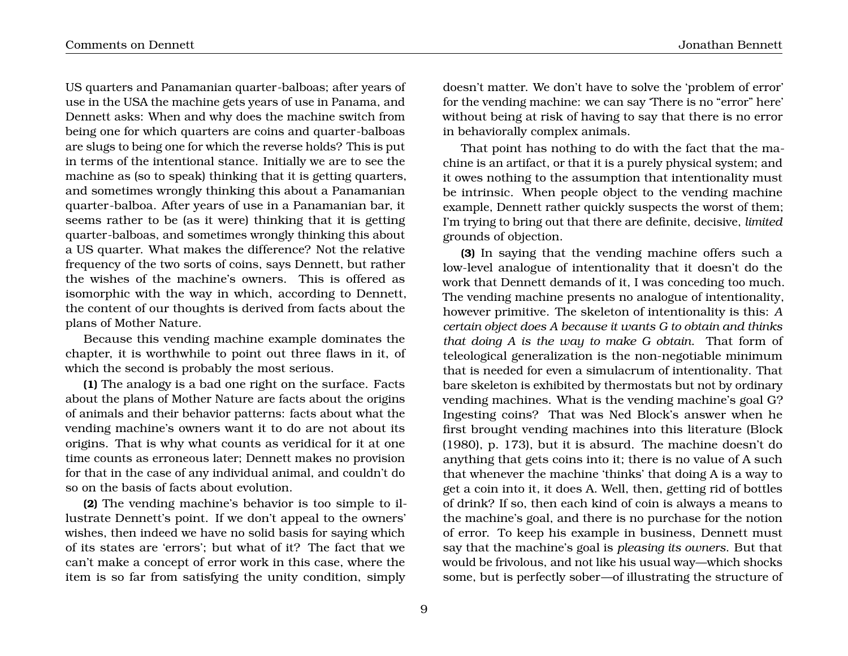US quarters and Panamanian quarter-balboas; after years of use in the USA the machine gets years of use in Panama, and Dennett asks: When and why does the machine switch from being one for which quarters are coins and quarter-balboas are slugs to being one for which the reverse holds? This is put in terms of the intentional stance. Initially we are to see the machine as (so to speak) thinking that it is getting quarters, and sometimes wrongly thinking this about a Panamanian quarter-balboa. After years of use in a Panamanian bar, it seems rather to be (as it were) thinking that it is getting quarter-balboas, and sometimes wrongly thinking this about a US quarter. What makes the difference? Not the relative frequency of the two sorts of coins, says Dennett, but rather the wishes of the machine's owners. This is offered as isomorphic with the way in which, according to Dennett, the content of our thoughts is derived from facts about the plans of Mother Nature.

Because this vending machine example dominates the chapter, it is worthwhile to point out three flaws in it, of which the second is probably the most serious.

**(1)** The analogy is a bad one right on the surface. Facts about the plans of Mother Nature are facts about the origins of animals and their behavior patterns: facts about what the vending machine's owners want it to do are not about its origins. That is why what counts as veridical for it at one time counts as erroneous later; Dennett makes no provision for that in the case of any individual animal, and couldn't do so on the basis of facts about evolution.

**(2)** The vending machine's behavior is too simple to illustrate Dennett's point. If we don't appeal to the owners' wishes, then indeed we have no solid basis for saying which of its states are 'errors'; but what of it? The fact that we can't make a concept of error work in this case, where the item is so far from satisfying the unity condition, simply

doesn't matter. We don't have to solve the 'problem of error' for the vending machine: we can say 'There is no "error" here' without being at risk of having to say that there is no error in behaviorally complex animals.

That point has nothing to do with the fact that the machine is an artifact, or that it is a purely physical system; and it owes nothing to the assumption that intentionality must be intrinsic. When people object to the vending machine example, Dennett rather quickly suspects the worst of them; I'm trying to bring out that there are definite, decisive, *limited* grounds of objection.

**(3)** In saying that the vending machine offers such a low-level analogue of intentionality that it doesn't do the work that Dennett demands of it, I was conceding too much. The vending machine presents no analogue of intentionality, however primitive. The skeleton of intentionality is this: *A certain object does A because it wants G to obtain and thinks that doing A is the way to make G obtain*. That form of teleological generalization is the non-negotiable minimum that is needed for even a simulacrum of intentionality. That bare skeleton is exhibited by thermostats but not by ordinary vending machines. What is the vending machine's goal G? Ingesting coins? That was Ned Block's answer when he first brought vending machines into this literature (Block (1980), p. 173), but it is absurd. The machine doesn't do anything that gets coins into it; there is no value of A such that whenever the machine 'thinks' that doing A is a way to get a coin into it, it does A. Well, then, getting rid of bottles of drink? If so, then each kind of coin is always a means to the machine's goal, and there is no purchase for the notion of error. To keep his example in business, Dennett must say that the machine's goal is *pleasing its owners*. But that would be frivolous, and not like his usual way—which shocks some, but is perfectly sober—of illustrating the structure of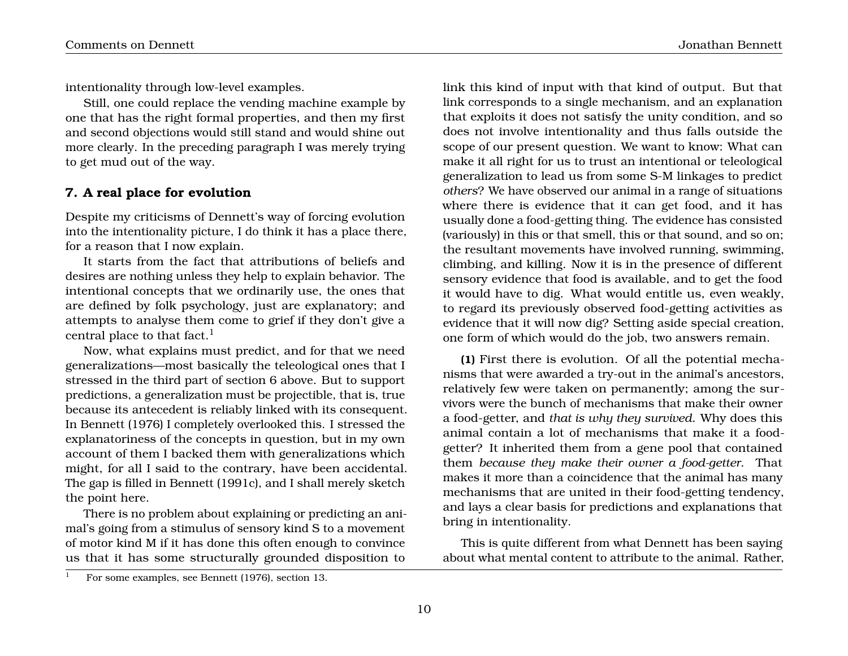intentionality through low-level examples.

Still, one could replace the vending machine example by one that has the right formal properties, and then my first and second objections would still stand and would shine out more clearly. In the preceding paragraph I was merely trying to get mud out of the way.

## **7. A real place for evolution**

Despite my criticisms of Dennett's way of forcing evolution into the intentionality picture, I do think it has a place there, for a reason that I now explain.

It starts from the fact that attributions of beliefs and desires are nothing unless they help to explain behavior. The intentional concepts that we ordinarily use, the ones that are defined by folk psychology, just are explanatory; and attempts to analyse them come to grief if they don't give a central place to that fact.<sup>1</sup>

Now, what explains must predict, and for that we need generalizations—most basically the teleological ones that I stressed in the third part of section 6 above. But to support predictions, a generalization must be projectible, that is, true because its antecedent is reliably linked with its consequent. In Bennett (1976) I completely overlooked this. I stressed the explanatoriness of the concepts in question, but in my own account of them I backed them with generalizations which might, for all I said to the contrary, have been accidental. The gap is filled in Bennett (1991c), and I shall merely sketch the point here.

There is no problem about explaining or predicting an animal's going from a stimulus of sensory kind S to a movement of motor kind M if it has done this often enough to convince us that it has some structurally grounded disposition to

link this kind of input with that kind of output. But that link corresponds to a single mechanism, and an explanation that exploits it does not satisfy the unity condition, and so does not involve intentionality and thus falls outside the scope of our present question. We want to know: What can make it all right for us to trust an intentional or teleological generalization to lead us from some S-M linkages to predict *others*? We have observed our animal in a range of situations where there is evidence that it can get food, and it has usually done a food-getting thing. The evidence has consisted (variously) in this or that smell, this or that sound, and so on; the resultant movements have involved running, swimming, climbing, and killing. Now it is in the presence of different sensory evidence that food is available, and to get the food it would have to dig. What would entitle us, even weakly, to regard its previously observed food-getting activities as evidence that it will now dig? Setting aside special creation, one form of which would do the job, two answers remain.

**(1)** First there is evolution. Of all the potential mechanisms that were awarded a try-out in the animal's ancestors, relatively few were taken on permanently; among the survivors were the bunch of mechanisms that make their owner a food-getter, and *that is why they survived*. Why does this animal contain a lot of mechanisms that make it a foodgetter? It inherited them from a gene pool that contained them *because they make their owner a food-getter*. That makes it more than a coincidence that the animal has many mechanisms that are united in their food-getting tendency, and lays a clear basis for predictions and explanations that bring in intentionality.

This is quite different from what Dennett has been saying about what mental content to attribute to the animal. Rather,

<sup>1</sup> For some examples, see Bennett (1976), section 13.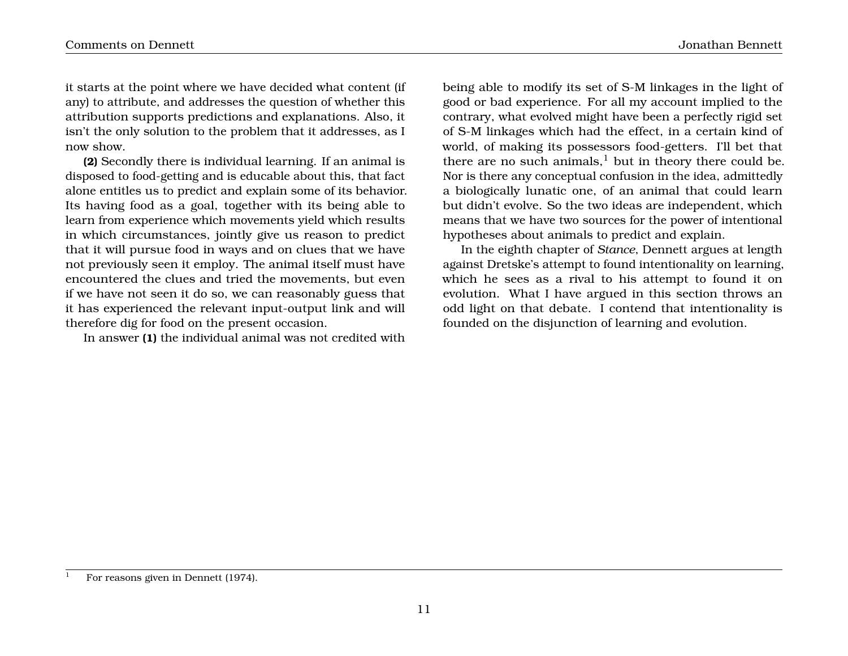it starts at the point where we have decided what content (if any) to attribute, and addresses the question of whether this attribution supports predictions and explanations. Also, it isn't the only solution to the problem that it addresses, as I now show.

**(2)** Secondly there is individual learning. If an animal is disposed to food-getting and is educable about this, that fact alone entitles us to predict and explain some of its behavior. Its having food as a goal, together with its being able to learn from experience which movements yield which results in which circumstances, jointly give us reason to predict that it will pursue food in ways and on clues that we have not previously seen it employ. The animal itself must have encountered the clues and tried the movements, but even if we have not seen it do so, we can reasonably guess that it has experienced the relevant input-output link and will therefore dig for food on the present occasion.

In answer **(1)** the individual animal was not credited with

being able to modify its set of S-M linkages in the light of good or bad experience. For all my account implied to the contrary, what evolved might have been a perfectly rigid set of S-M linkages which had the effect, in a certain kind of world, of making its possessors food-getters. I'll bet that there are no such animals, $<sup>1</sup>$  but in theory there could be.</sup> Nor is there any conceptual confusion in the idea, admittedly a biologically lunatic one, of an animal that could learn but didn't evolve. So the two ideas are independent, which means that we have two sources for the power of intentional hypotheses about animals to predict and explain.

In the eighth chapter of *Stance*, Dennett argues at length against Dretske's attempt to found intentionality on learning, which he sees as a rival to his attempt to found it on evolution. What I have argued in this section throws an odd light on that debate. I contend that intentionality is founded on the disjunction of learning and evolution.

<sup>1</sup> For reasons given in Dennett (1974).